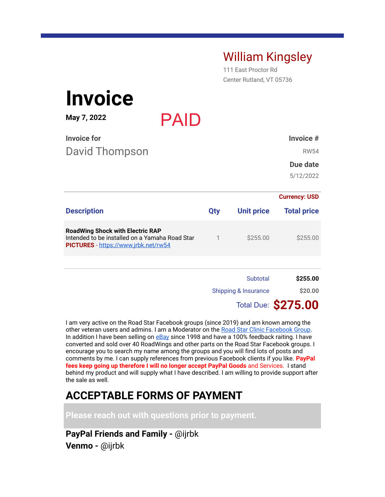## William Kingsley

111 East Proctor Rd Center Rutland, VT 05736

| <b>Invoice</b>                                                                                                                    |             |              |                   |                            |
|-----------------------------------------------------------------------------------------------------------------------------------|-------------|--------------|-------------------|----------------------------|
| May 7, 2022                                                                                                                       | <b>PAID</b> |              |                   |                            |
| <b>Invoice for</b>                                                                                                                |             |              |                   | Invoice #                  |
| David Thompson                                                                                                                    |             |              |                   | <b>RW54</b>                |
|                                                                                                                                   |             |              |                   | Due date                   |
|                                                                                                                                   |             |              |                   | 5/12/2022                  |
|                                                                                                                                   |             |              |                   | <b>Currency: USD</b>       |
| <b>Description</b>                                                                                                                |             | Qty          | <b>Unit price</b> | <b>Total price</b>         |
| <b>RoadWing Shock with Electric RAP</b><br>Intended to be installed on a Yamaha Road Star<br>PICTURES - https://www.jrbk.net/rw54 |             | $\mathbf{1}$ | \$255.00          | \$255.00                   |
|                                                                                                                                   |             |              |                   |                            |
|                                                                                                                                   |             |              | Subtotal          | \$255.00                   |
| <b>Shipping &amp; Insurance</b>                                                                                                   |             | \$20.00      |                   |                            |
|                                                                                                                                   |             |              |                   | <b>Total Due: \$275.00</b> |

I am very active on the Road Star Facebook groups (since 2019) and am known among the other veteran users and admins. I am a Moderator on the Road Star Clinic Facebook Group. In addition I have been selling on eBay since 1998 and have a 100% feedback raiting. I have converted and sold over 40 RoadWings and other parts on the Road Star Facebook groups. I encourage you to search my name among the groups and you will find lots of posts and comments by me. I can supply references from previous Facebook clients if you like. **PayPal fees keep going up therefore I will no longer accept PayPal Goods** and Services. I stand behind my product and will supply what I have described. I am willing to provide support after the sale as well.

## **ACCEPTABLE FORMS OF PAYMENT**

**Please reach out with questions prior to payment.**

**PayPal Friends and Family -** @ijrbk **Venmo -** @ijrbk